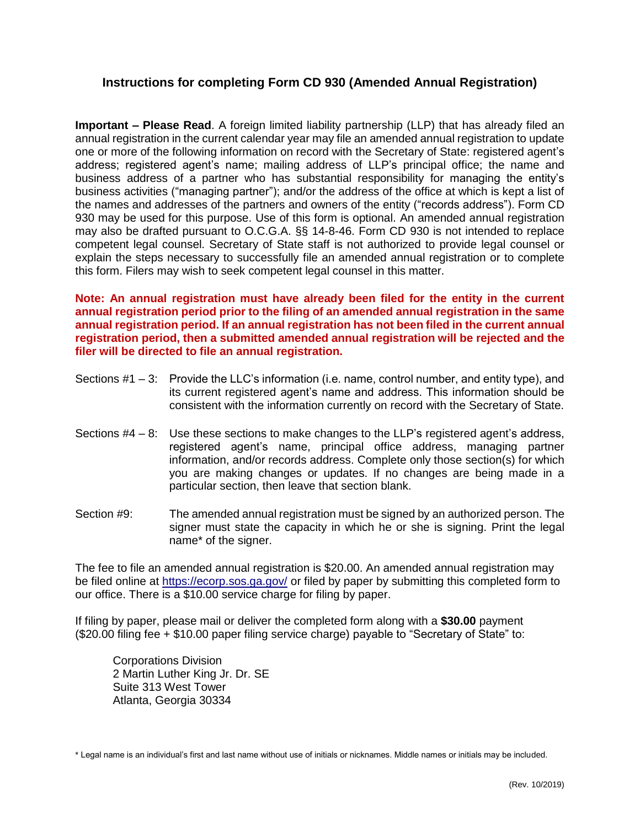## **Instructions for completing Form CD 930 (Amended Annual Registration)**

**Important – Please Read**. A foreign limited liability partnership (LLP) that has already filed an annual registration in the current calendar year may file an amended annual registration to update one or more of the following information on record with the Secretary of State: registered agent's address; registered agent's name; mailing address of LLP's principal office; the name and business address of a partner who has substantial responsibility for managing the entity's business activities ("managing partner"); and/or the address of the office at which is kept a list of the names and addresses of the partners and owners of the entity ("records address"). Form CD 930 may be used for this purpose. Use of this form is optional. An amended annual registration may also be drafted pursuant to O.C.G.A. §§ 14-8-46. Form CD 930 is not intended to replace competent legal counsel. Secretary of State staff is not authorized to provide legal counsel or explain the steps necessary to successfully file an amended annual registration or to complete this form. Filers may wish to seek competent legal counsel in this matter.

**Note: An annual registration must have already been filed for the entity in the current annual registration period prior to the filing of an amended annual registration in the same annual registration period. If an annual registration has not been filed in the current annual registration period, then a submitted amended annual registration will be rejected and the filer will be directed to file an annual registration.**

- Sections #1 3: Provide the LLC's information (i.e. name, control number, and entity type), and its current registered agent's name and address. This information should be consistent with the information currently on record with the Secretary of State.
- Sections #4 8: Use these sections to make changes to the LLP's registered agent's address, registered agent's name, principal office address, managing partner information, and/or records address. Complete only those section(s) for which you are making changes or updates. If no changes are being made in a particular section, then leave that section blank.
- Section #9: The amended annual registration must be signed by an authorized person. The signer must state the capacity in which he or she is signing. Print the legal name\* of the signer.

The fee to file an amended annual registration is \$20.00. An amended annual registration may be filed online at<https://ecorp.sos.ga.gov/> or filed by paper by submitting this completed form to our office. There is a \$10.00 service charge for filing by paper.

If filing by paper, please mail or deliver the completed form along with a **\$30.00** payment (\$20.00 filing fee + \$10.00 paper filing service charge) payable to "Secretary of State" to:

Corporations Division 2 Martin Luther King Jr. Dr. SE Suite 313 West Tower Atlanta, Georgia 30334

\* Legal name is an individual's first and last name without use of initials or nicknames. Middle names or initials may be included.